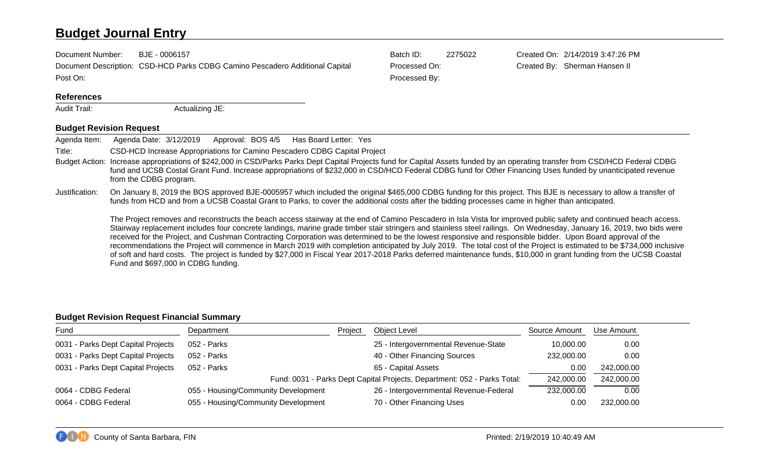# **Budget Journal Entry**

| Document Number:  | BJE - 0006157                                                                | Batch ID:     | 2275022 | Created On: 2/14/2019 3:47:26 PM |
|-------------------|------------------------------------------------------------------------------|---------------|---------|----------------------------------|
|                   | Document Description: CSD-HCD Parks CDBG Camino Pescadero Additional Capital | Processed On: |         | Created By: Sherman Hansen II    |
| Post On:          |                                                                              | Processed By: |         |                                  |
| <b>References</b> |                                                                              |               |         |                                  |
| Audit Trail:      | Actualizing JE:                                                              |               |         |                                  |

## **Budget Revision Request**

| Agenda Item:   | Approval: BOS 4/5 Has Board Letter: Yes<br>Agenda Date: 3/12/2019                                                                                                                                                                                                                                                                                                                                                                                                                                                                                                                                                                                                                                                                                                                                                                                                                                   |
|----------------|-----------------------------------------------------------------------------------------------------------------------------------------------------------------------------------------------------------------------------------------------------------------------------------------------------------------------------------------------------------------------------------------------------------------------------------------------------------------------------------------------------------------------------------------------------------------------------------------------------------------------------------------------------------------------------------------------------------------------------------------------------------------------------------------------------------------------------------------------------------------------------------------------------|
| Title:         | CSD-HCD Increase Appropriations for Camino Pescadero CDBG Capital Project                                                                                                                                                                                                                                                                                                                                                                                                                                                                                                                                                                                                                                                                                                                                                                                                                           |
|                | Budget Action: Increase appropriations of \$242,000 in CSD/Parks Parks Dept Capital Projects fund for Capital Assets funded by an operating transfer from CSD/HCD Federal CDBG<br>fund and UCSB Costal Grant Fund. Increase appropriations of \$232,000 in CSD/HCD Federal CDBG fund for Other Financing Uses funded by unanticipated revenue<br>from the CDBG program.                                                                                                                                                                                                                                                                                                                                                                                                                                                                                                                             |
| Justification: | On January 8, 2019 the BOS approved BJE-0005957 which included the original \$465,000 CDBG funding for this project. This BJE is necessary to allow a transfer of<br>funds from HCD and from a UCSB Coastal Grant to Parks, to cover the additional costs after the bidding processes came in higher than anticipated.                                                                                                                                                                                                                                                                                                                                                                                                                                                                                                                                                                              |
|                | The Project removes and reconstructs the beach access stairway at the end of Camino Pescadero in Isla Vista for improved public safety and continued beach access.<br>Stairway replacement includes four concrete landings, marine grade timber stair stringers and stainless steel railings. On Wednesday, January 16, 2019, two bids were<br>received for the Project, and Cushman Contracting Corporation was determined to be the lowest responsive and responsible bidder. Upon Board approval of the<br>recommendations the Project will commence in March 2019 with completion anticipated by July 2019. The total cost of the Project is estimated to be \$734,000 inclusive<br>of soft and hard costs. The project is funded by \$27,000 in Fiscal Year 2017-2018 Parks deferred maintenance funds, \$10,000 in grant funding from the UCSB Coastal<br>Fund and \$697,000 in CDBG funding. |

## **Budget Revision Request Financial Summary**

| Fund                               | Department                                                               | Project    | <b>Object Level</b>                    | Source Amount | Use Amount |
|------------------------------------|--------------------------------------------------------------------------|------------|----------------------------------------|---------------|------------|
| 0031 - Parks Dept Capital Projects | 052 - Parks                                                              |            | 25 - Intergovernmental Revenue-State   | 10,000.00     | 0.00       |
| 0031 - Parks Dept Capital Projects | 052 - Parks                                                              |            | 40 - Other Financing Sources           | 232,000.00    | 0.00       |
| 0031 - Parks Dept Capital Projects | 052 - Parks                                                              |            | 65 - Capital Assets                    | 0.00          | 242,000.00 |
|                                    | Fund: 0031 - Parks Dept Capital Projects, Department: 052 - Parks Total: | 242,000.00 | 242,000.00                             |               |            |
| 0064 - CDBG Federal                | 055 - Housing/Community Development                                      |            | 26 - Intergovernmental Revenue-Federal | 232,000.00    | 0.00       |
| 0064 - CDBG Federal                | 055 - Housing/Community Development                                      |            | 70 - Other Financing Uses              | 0.00          | 232,000.00 |